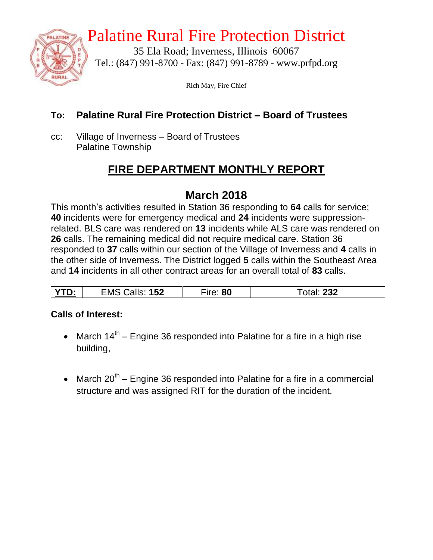

# Palatine Rural Fire Protection District

35 Ela Road; Inverness, Illinois 60067 Tel.: (847) 991-8700 - Fax: (847) 991-8789 - www.prfpd.org

Rich May, Fire Chief

### **To: Palatine Rural Fire Protection District – Board of Trustees**

cc: Village of Inverness – Board of Trustees Palatine Township

# **FIRE DEPARTMENT MONTHLY REPORT**

## **March 2018**

This month's activities resulted in Station 36 responding to **64** calls for service; **40** incidents were for emergency medical and **24** incidents were suppressionrelated. BLS care was rendered on **13** incidents while ALS care was rendered on **26** calls. The remaining medical did not require medical care. Station 36 responded to **37** calls within our section of the Village of Inverness and **4** calls in the other side of Inverness. The District logged **5** calls within the Southeast Area and **14** incidents in all other contract areas for an overall total of **83** calls.

#### **Calls of Interest:**

- March  $14<sup>th</sup>$  Engine 36 responded into Palatine for a fire in a high rise building,
- March  $20^{th}$  Engine 36 responded into Palatine for a fire in a commercial structure and was assigned RIT for the duration of the incident.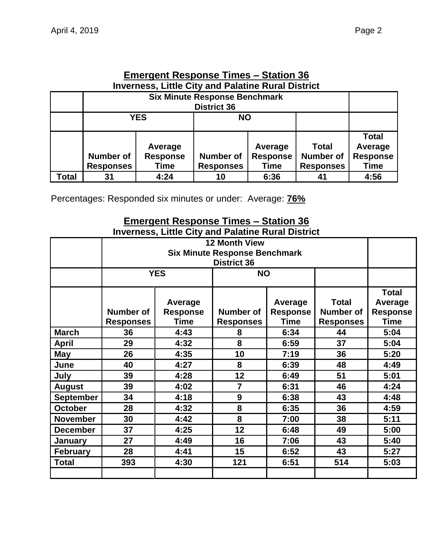|       | <b>Inverness, Little City and Palatine Rural District</b>                                                          |      |    |                                           |                                                      |                                                    |  |  |  |
|-------|--------------------------------------------------------------------------------------------------------------------|------|----|-------------------------------------------|------------------------------------------------------|----------------------------------------------------|--|--|--|
|       | <b>Six Minute Response Benchmark</b><br><b>District 36</b>                                                         |      |    |                                           |                                                      |                                                    |  |  |  |
|       | <b>YES</b><br><b>NO</b>                                                                                            |      |    |                                           |                                                      |                                                    |  |  |  |
|       | Average<br><b>Number of</b><br><b>Response</b><br><b>Number of</b><br><b>Responses</b><br><b>Responses</b><br>Time |      |    | Average<br><b>Response</b><br><b>Time</b> | <b>Total</b><br><b>Number of</b><br><b>Responses</b> | <b>Total</b><br>Average<br><b>Response</b><br>Time |  |  |  |
| Total | 31                                                                                                                 | 4:24 | 10 | 6:36                                      | 41                                                   | 4:56                                               |  |  |  |

#### **Emergent Response Times – Station 36 Inverness, Little City and Palatine Rural District**

Percentages: Responded six minutes or under: Average: **76%**

#### **Emergent Response Times – Station 36 Inverness, Little City and Palatine Rural District**

| <b>12 Month View</b>                                                                                                                                     |                    |     |                    |                                                      |                                                           |
|----------------------------------------------------------------------------------------------------------------------------------------------------------|--------------------|-----|--------------------|------------------------------------------------------|-----------------------------------------------------------|
|                                                                                                                                                          |                    |     |                    |                                                      |                                                           |
| <b>YES</b><br><b>NO</b>                                                                                                                                  |                    |     |                    |                                                      |                                                           |
| Average<br>Average<br>Number of<br><b>Response</b><br>Number of<br><b>Response</b><br><b>Time</b><br><b>Time</b><br><b>Responses</b><br><b>Responses</b> |                    |     |                    | <b>Total</b><br><b>Number of</b><br><b>Responses</b> | <b>Total</b><br>Average<br><b>Response</b><br><b>Time</b> |
| 36                                                                                                                                                       | 4:43               | 8   | 6:34               | 44                                                   | 5:04                                                      |
| 29                                                                                                                                                       | 8<br>4:32<br>6:59  |     | 37                 | 5:04                                                 |                                                           |
| 26                                                                                                                                                       | 10<br>4:35<br>7:19 |     | 36                 | 5:20                                                 |                                                           |
| 4:27<br>40                                                                                                                                               |                    | 8   | 6:39               | 48                                                   | 4:49                                                      |
| 39                                                                                                                                                       | 4:28               | 12  | 6:49               | 51                                                   | 5:01                                                      |
| 39                                                                                                                                                       | 4:02               | 7   | 6:31               | 46                                                   | 4:24                                                      |
| 34                                                                                                                                                       | 4:18               | 9   | 6:38               | 43                                                   | 4:48                                                      |
| 28                                                                                                                                                       | 4:32               | 8   | 6:35               | 36                                                   | 4:59                                                      |
| 8<br>4:42<br>30<br>7:00                                                                                                                                  |                    | 38  | 5:11               |                                                      |                                                           |
| 12<br>37<br>4:25<br>6:48                                                                                                                                 |                    | 49  | 5:00               |                                                      |                                                           |
| 27                                                                                                                                                       | 4:49               | 16  | 7:06               | 43                                                   | 5:40                                                      |
| 28                                                                                                                                                       | 4:41               | 15  | 6:52               | 43                                                   | 5:27                                                      |
| 393                                                                                                                                                      | 4:30               | 121 | 6:51               | 514                                                  | 5:03                                                      |
|                                                                                                                                                          |                    |     | <b>District 36</b> | <b>Six Minute Response Benchmark</b>                 |                                                           |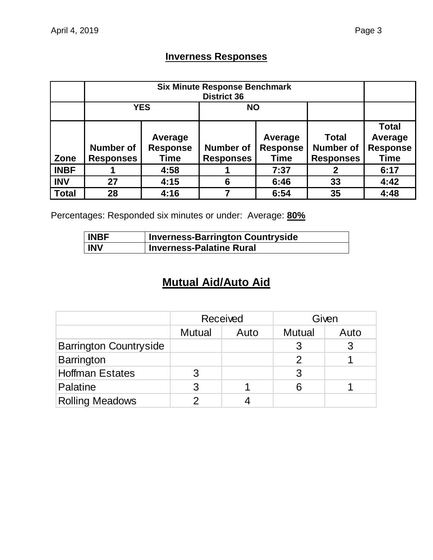### **Inverness Responses**

|              | <b>YES</b><br><b>NO</b>              |                                    |                                      |                                           |                                                      |                                                           |
|--------------|--------------------------------------|------------------------------------|--------------------------------------|-------------------------------------------|------------------------------------------------------|-----------------------------------------------------------|
| Zone         | <b>Number of</b><br><b>Responses</b> | Average<br><b>Response</b><br>Time | <b>Number of</b><br><b>Responses</b> | Average<br><b>Response</b><br><b>Time</b> | <b>Total</b><br><b>Number of</b><br><b>Responses</b> | <b>Total</b><br>Average<br><b>Response</b><br><b>Time</b> |
| <b>INBF</b>  |                                      | 4:58                               |                                      | 7:37                                      |                                                      | 6:17                                                      |
| <b>INV</b>   | 27                                   | 4:15                               | 6                                    | 6:46                                      | 33                                                   | 4:42                                                      |
| <b>Total</b> | 28                                   | 4:16                               |                                      | 6:54                                      | 35                                                   | 4:48                                                      |

Percentages: Responded six minutes or under: Average: **80%**

| <b>INBF</b> | <b>Inverness-Barrington Countryside</b> |
|-------------|-----------------------------------------|
| <b>INV</b>  | <b>Inverness-Palatine Rural</b>         |

# **Mutual Aid/Auto Aid**

|                               |                                        | <b>Received</b> | Given |      |  |
|-------------------------------|----------------------------------------|-----------------|-------|------|--|
|                               | <b>Mutual</b><br><b>Mutual</b><br>Auto |                 |       | Auto |  |
| <b>Barrington Countryside</b> |                                        |                 |       |      |  |
| Barrington                    |                                        |                 |       |      |  |
| <b>Hoffman Estates</b>        |                                        |                 | 3     |      |  |
| Palatine                      | 3                                      |                 | 6     |      |  |
| <b>Rolling Meadows</b>        |                                        |                 |       |      |  |